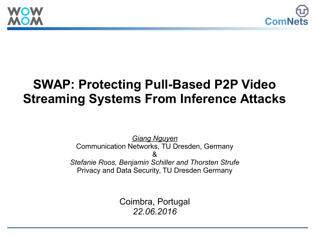



#### **SWAP: Protecting Pull-Based P2P Video Streaming Systems From Inference Attacks**

*Giang Nguyen* Communication Networks, TU Dresden, Germany  $\mathcal{R}_{\mathbf{z}}$ *Stefanie Roos, Benjamin Schiller and Thorsten Strufe* Privacy and Data Security, TU Dresden Germany

> Coimbra, Portugal *22.06.2016*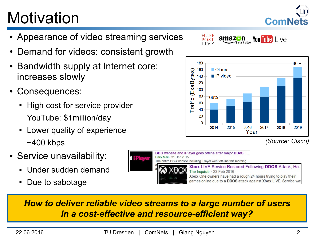## **Motivation**

- Appearance of video streaming services
- Demand for videos: consistent growth
- Bandwidth supply at Internet core: increases slowly
- Consequences:
	- High cost for service provider YouTube: \$1million/day
	- **-** Lower quality of experience ~400 kbps
- Service unavailability:
	- Under sudden demand
	- Due to sabotage



*How to deliver reliable video streams to a large number of users in a cost-effective and resource-efficient way?*



**ComNet** 

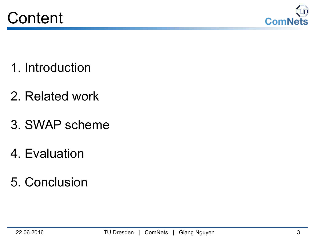



- 1. Introduction
- 2. Related work
- 3. SWAP scheme
- 4. Evaluation
- 5. Conclusion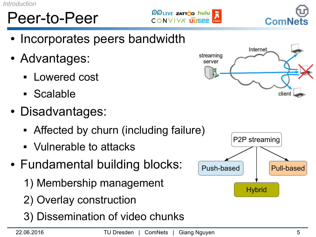## Peer-to-Peer

*Introduction*

- Incorporates peers bandwidth
- Advantages:
	- Lowered cost
	- Scalable
- Disadvantages:
	- Affected by churn (including failure)
	- Vulnerable to attacks
- Fundamental building blocks:
	- 1) Membership management
	- 2) Overlay construction
	- 3) Dissemination of video chunks

#### **OOLIVE ZATTOD hulu** CONVIVA LUSPP





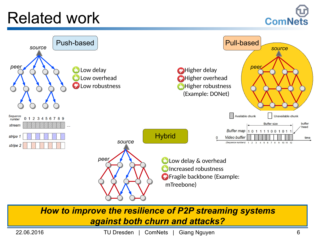#### Related work





*How to improve the resilience of P2P streaming systems against both churn and attacks?*

22.06.2016 TU Dresden | ComNets | Giang Nguyen 6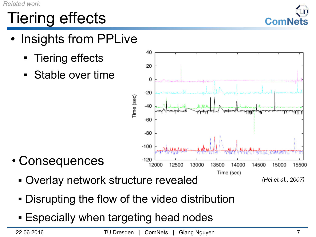## Tiering effects

- Insights from PPLive
	- Tiering effects
	- Stable over time



- Consequences
	- Overlay network structure revealed

*(Hei et al., 2007)*

- Disrupting the flow of the video distribution
- **Especially when targeting head nodes**

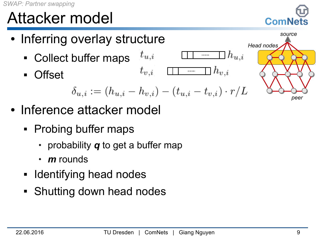## Attacker model

- Inferring overlay structure
	- $t_{u,i}$ Collect buffer maps
	- Offset

$$
t_{v,i} \quad \rule{2.3cm}{0.4cm} \quad h_{v,i}
$$

$$
\delta_{u,i} := (h_{u,i} - h_{v,i}) - (t_{u,i} - t_{v,i}) \cdot r/L
$$

- Inference attacker model
	- Probing buffer maps
		- probability *q* to get a buffer map
		- *m* rounds
	- **Identifying head nodes**
	- **Shutting down head nodes**





 $h_{u,i}$ 

 $\ldots$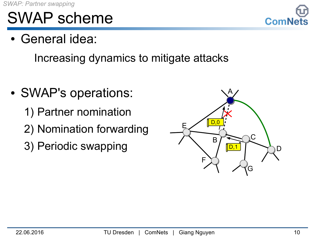#### SWAP scheme

• General idea:

Increasing dynamics to mitigate attacks

- SWAP's operations:
	- 1) Partner nomination
	- 2) Nomination forwarding
	- 3) Periodic swapping



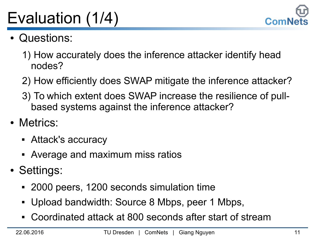

# Evaluation (1/4)

- Questions:
	- 1) How accurately does the inference attacker identify head nodes?
	- 2) How efficiently does SWAP mitigate the inference attacker?
	- 3) To which extent does SWAP increase the resilience of pullbased systems against the inference attacker?
- Metrics:
	- Attack's accuracy
	- Average and maximum miss ratios
- Settings:
	- 2000 peers, 1200 seconds simulation time
	- Upload bandwidth: Source 8 Mbps, peer 1 Mbps,
	- Coordinated attack at 800 seconds after start of stream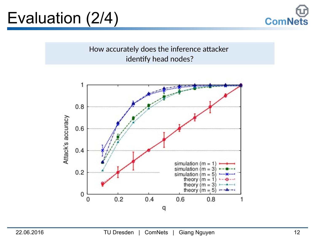### Evaluation (2/4)



How accurately does the inference attacker identify head nodes?

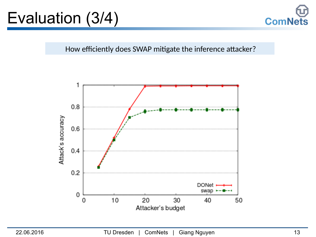### Evaluation (3/4)



How efficiently does SWAP mitigate the inference attacker?

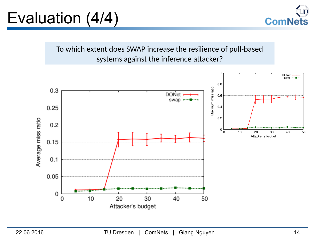#### Evaluation (4/4)



To which extent does SWAP increase the resilience of pull-based systems against the inference attacker?